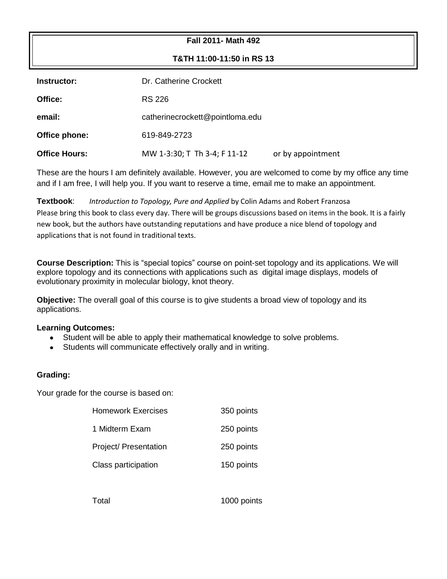## **Fall 2011- Math 492**

**T&TH 11:00-11:50 in RS 13**

| Instructor:          | Dr. Catherine Crockett          |                   |  |
|----------------------|---------------------------------|-------------------|--|
| Office:              | RS 226                          |                   |  |
| email:               | catherinecrockett@pointloma.edu |                   |  |
| Office phone:        | 619-849-2723                    |                   |  |
| <b>Office Hours:</b> | MW 1-3:30; T Th 3-4; F 11-12    | or by appointment |  |

These are the hours I am definitely available. However, you are welcomed to come by my office any time and if I am free, I will help you. If you want to reserve a time, email me to make an appointment.

**Textbook**: *Introduction to Topology, Pure and Applied* by Colin Adams and Robert Franzosa Please bring this book to class every day. There will be groups discussions based on items in the book. It is a fairly new book, but the authors have outstanding reputations and have produce a nice blend of topology and applications that is not found in traditional texts.

**Course Description:** This is "special topics" course on point-set topology and its applications. We will explore topology and its connections with applications such as digital image displays, models of evolutionary proximity in molecular biology, knot theory.

**Objective:** The overall goal of this course is to give students a broad view of topology and its applications.

## **Learning Outcomes:**

- Student will be able to apply their mathematical knowledge to solve problems.  $\bullet$
- Students will communicate effectively orally and in writing.

## **Grading:**

Your grade for the course is based on:

| <b>Homework Exercises</b> | 350 points |
|---------------------------|------------|
| 1 Midterm Exam            | 250 points |
| Project/ Presentation     | 250 points |
| Class participation       | 150 points |
|                           |            |

Total 1000 points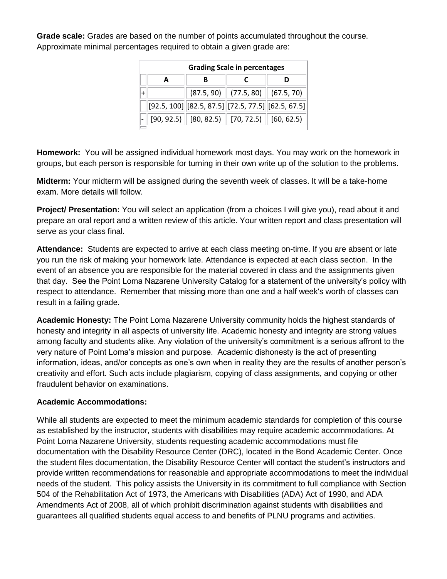**Grade scale:** Grades are based on the number of points accumulated throughout the course. Approximate minimal percentages required to obtain a given grade are:

| <b>Grading Scale in percentages</b> |                                                                                    |                                    |   |  |
|-------------------------------------|------------------------------------------------------------------------------------|------------------------------------|---|--|
| A                                   | в                                                                                  |                                    | D |  |
| $+$                                 |                                                                                    | $(87.5, 90)$ (77.5, 80) (67.5, 70) |   |  |
|                                     | $\left\  [92.5,100] \right\  [82.5,87.5] \left\  [72.5,77.5] \right\  [62.5,67.5]$ |                                    |   |  |
|                                     | $[90, 92.5]$ $[80, 82.5]$ $[70, 72.5]$ $[60, 62.5]$                                |                                    |   |  |

**Homework:** You will be assigned individual homework most days. You may work on the homework in groups, but each person is responsible for turning in their own write up of the solution to the problems.

**Midterm:** Your midterm will be assigned during the seventh week of classes. It will be a take-home exam. More details will follow.

**Project/ Presentation:** You will select an application (from a choices I will give you), read about it and prepare an oral report and a written review of this article. Your written report and class presentation will serve as your class final.

**Attendance:** Students are expected to arrive at each class meeting on-time. If you are absent or late you run the risk of making your homework late. Attendance is expected at each class section. In the event of an absence you are responsible for the material covered in class and the assignments given that day. See the Point Loma Nazarene University Catalog for a statement of the university's policy with respect to attendance. Remember that missing more than one and a half week's worth of classes can result in a failing grade.

**Academic Honesty:** The Point Loma Nazarene University community holds the highest standards of honesty and integrity in all aspects of university life. Academic honesty and integrity are strong values among faculty and students alike. Any violation of the university's commitment is a serious affront to the very nature of Point Loma's mission and purpose. Academic dishonesty is the act of presenting information, ideas, and/or concepts as one's own when in reality they are the results of another person's creativity and effort. Such acts include plagiarism, copying of class assignments, and copying or other fraudulent behavior on examinations.

## **Academic Accommodations:**

While all students are expected to meet the minimum academic standards for completion of this course as established by the instructor, students with disabilities may require academic accommodations. At Point Loma Nazarene University, students requesting academic accommodations must file documentation with the Disability Resource Center (DRC), located in the Bond Academic Center. Once the student files documentation, the Disability Resource Center will contact the student's instructors and provide written recommendations for reasonable and appropriate accommodations to meet the individual needs of the student. This policy assists the University in its commitment to full compliance with Section 504 of the Rehabilitation Act of 1973, the Americans with Disabilities (ADA) Act of 1990, and ADA Amendments Act of 2008, all of which prohibit discrimination against students with disabilities and guarantees all qualified students equal access to and benefits of PLNU programs and activities.